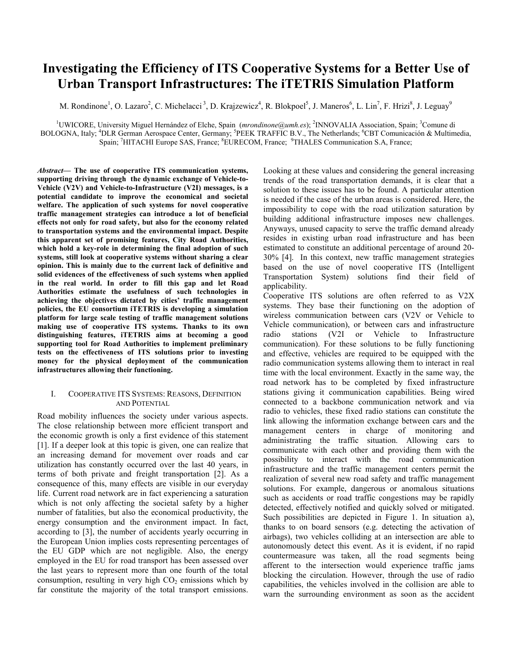# Investigating the Efficiency of ITS Cooperative Systems for a Better Use of Urban Transport Infrastructures: The iTETRIS Simulation Platform

M. Rondinone<sup>1</sup>, O. Lazaro<sup>2</sup>, C. Michelacci<sup>3</sup>, D. Krajzewicz<sup>4</sup>, R. Blokpoel<sup>5</sup>, J. Maneros<sup>6</sup>, L. Lin<sup>7</sup>, F. Hrizi<sup>8</sup>, J. Leguay<sup>9</sup>

<sup>1</sup>UWICORE, University Miguel Hernández of Elche, Spain (mrondinone@umh.es); <sup>2</sup>INNOVALIA Association, Spain; <sup>3</sup>Comune di BOLOGNA, Italy; <sup>4</sup>DLR German Aerospace Center, Germany; <sup>5</sup>PEEK TRAFFIC B.V., The Netherlands; <sup>6</sup>CBT Comunicación & Multimedia, Spain; <sup>7</sup>HITACHI Europe SAS, France; <sup>8</sup>EURECOM, France; <sup>9</sup>THALES Communication S.A, France;

Abstract— The use of cooperative ITS communication systems, supporting driving through the dynamic exchange of Vehicle-to-Vehicle (V2V) and Vehicle-to-Infrastructure (V2I) messages, is a potential candidate to improve the economical and societal welfare. The application of such systems for novel cooperative traffic management strategies can introduce a lot of beneficial effects not only for road safety, but also for the economy related to transportation systems and the environmental impact. Despite this apparent set of promising features, City Road Authorities, which hold a key-role in determining the final adoption of such systems, still look at cooperative systems without sharing a clear opinion. This is mainly due to the current lack of definitive and solid evidences of the effectiveness of such systems when applied in the real world. In order to fill this gap and let Road Authorities estimate the usefulness of such technologies in achieving the objectives dictated by cities' traffic management policies, the EU consortium iTETRIS is developing a simulation platform for large scale testing of traffic management solutions making use of cooperative ITS systems. Thanks to its own distinguishing features, iTETRIS aims at becoming a good supporting tool for Road Authorities to implement preliminary tests on the effectiveness of ITS solutions prior to investing money for the physical deployment of the communication infrastructures allowing their functioning.

### I. COOPERATIVE ITS SYSTEMS: REASONS, DEFINITION AND POTENTIAL

Road mobility influences the society under various aspects. The close relationship between more efficient transport and the economic growth is only a first evidence of this statement [1]. If a deeper look at this topic is given, one can realize that an increasing demand for movement over roads and car utilization has constantly occurred over the last 40 years, in terms of both private and freight transportation [2]. As a consequence of this, many effects are visible in our everyday life. Current road network are in fact experiencing a saturation which is not only affecting the societal safety by a higher number of fatalities, but also the economical productivity, the energy consumption and the environment impact. In fact, according to [3], the number of accidents yearly occurring in the European Union implies costs representing percentages of the EU GDP which are not negligible. Also, the energy employed in the EU for road transport has been assessed over the last years to represent more than one fourth of the total consumption, resulting in very high  $CO<sub>2</sub>$  emissions which by far constitute the majority of the total transport emissions.

Looking at these values and considering the general increasing trends of the road transportation demands, it is clear that a solution to these issues has to be found. A particular attention is needed if the case of the urban areas is considered. Here, the impossibility to cope with the road utilization saturation by building additional infrastructure imposes new challenges. Anyways, unused capacity to serve the traffic demand already resides in existing urban road infrastructure and has been estimated to constitute an additional percentage of around 20- 30% [4]. In this context, new traffic management strategies based on the use of novel cooperative ITS (Intelligent Transportation System) solutions find their field of applicability.

Cooperative ITS solutions are often referred to as V2X systems. They base their functioning on the adoption of wireless communication between cars (V2V or Vehicle to Vehicle communication), or between cars and infrastructure radio stations (V2I or Vehicle to Infrastructure communication). For these solutions to be fully functioning and effective, vehicles are required to be equipped with the radio communication systems allowing them to interact in real time with the local environment. Exactly in the same way, the road network has to be completed by fixed infrastructure stations giving it communication capabilities. Being wired connected to a backbone communication network and via radio to vehicles, these fixed radio stations can constitute the link allowing the information exchange between cars and the management centers in charge of monitoring and administrating the traffic situation. Allowing cars to communicate with each other and providing them with the possibility to interact with the road communication infrastructure and the traffic management centers permit the realization of several new road safety and traffic management solutions. For example, dangerous or anomalous situations such as accidents or road traffic congestions may be rapidly detected, effectively notified and quickly solved or mitigated. Such possibilities are depicted in Figure 1. In situation a), thanks to on board sensors (e.g. detecting the activation of airbags), two vehicles colliding at an intersection are able to autonomously detect this event. As it is evident, if no rapid countermeasure was taken, all the road segments being afferent to the intersection would experience traffic jams blocking the circulation. However, through the use of radio capabilities, the vehicles involved in the collision are able to warn the surrounding environment as soon as the accident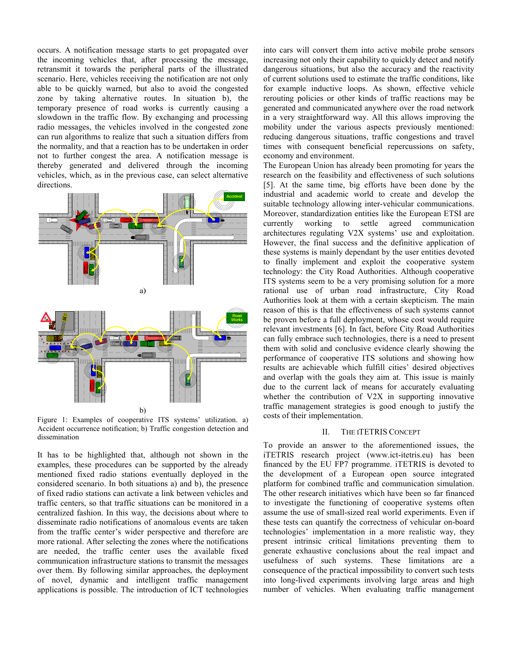occurs. A notification message starts to get propagated over the incoming vehicles that, after processing the message, retransmit it towards the peripheral parts of the illustrated scenario. Here, vehicles receiving the notification are not only able to be quickly warned, but also to avoid the congested zone by taking alternative routes. In situation b), the temporary presence of road works is currently causing a slowdown in the traffic flow. By exchanging and processing radio messages, the vehicles involved in the congested zone can run algorithms to realize that such a situation differs from the normality, and that a reaction has to be undertaken in order not to further congest the area. A notification message is thereby generated and delivered through the incoming vehicles, which, as in the previous case, can select alternative directions.



Figure 1: Examples of cooperative ITS systems' utilization. a) Accident occurrence notification; b) Traffic congestion detection and dissemination

It has to be highlighted that, although not shown in the examples, these procedures can be supported by the already mentioned fixed radio stations eventually deployed in the considered scenario. In both situations a) and b), the presence of fixed radio stations can activate a link between vehicles and traffic centers, so that traffic situations can be monitored in a centralized fashion. In this way, the decisions about where to disseminate radio notifications of anomalous events are taken from the traffic center's wider perspective and therefore are more rational. After selecting the zones where the notifications are needed, the traffic center uses the available fixed communication infrastructure stations to transmit the messages over them. By following similar approaches, the deployment of novel, dynamic and intelligent traffic management applications is possible. The introduction of ICT technologies

into cars will convert them into active mobile probe sensors increasing not only their capability to quickly detect and notify dangerous situations, but also the accuracy and the reactivity of current solutions used to estimate the traffic conditions, like for example inductive loops. As shown, effective vehicle rerouting policies or other kinds of traffic reactions may be generated and communicated anywhere over the road network in a very straightforward way. All this allows improving the mobility under the various aspects previously mentioned: reducing dangerous situations, traffic congestions and travel times with consequent beneficial repercussions on safety, economy and environment.

The European Union has already been promoting for years the research on the feasibility and effectiveness of such solutions [5]. At the same time, big efforts have been done by the industrial and academic world to create and develop the suitable technology allowing inter-vehicular communications. Moreover, standardization entities like the European ETSI are currently working to settle agreed communication architectures regulating V2X systems' use and exploitation. However, the final success and the definitive application of these systems is mainly dependant by the user entities devoted to finally implement and exploit the cooperative system technology: the City Road Authorities. Although cooperative ITS systems seem to be a very promising solution for a more rational use of urban road infrastructure, City Road Authorities look at them with a certain skepticism. The main reason of this is that the effectiveness of such systems cannot be proven before a full deployment, whose cost would require relevant investments [6]. In fact, before City Road Authorities can fully embrace such technologies, there is a need to present them with solid and conclusive evidence clearly showing the performance of cooperative ITS solutions and showing how results are achievable which fulfill cities' desired objectives and overlap with the goals they aim at. This issue is mainly due to the current lack of means for accurately evaluating whether the contribution of V2X in supporting innovative traffic management strategies is good enough to justify the costs of their implementation.

## II. THE ITETRIS CONCEPT

To provide an answer to the aforementioned issues, the iTETRIS research project (www.ict-itetris.eu) has been financed by the EU FP7 programme. iTETRIS is devoted to the development of a European open source integrated platform for combined traffic and communication simulation. The other research initiatives which have been so far financed to investigate the functioning of cooperative systems often assume the use of small-sized real world experiments. Even if these tests can quantify the correctness of vehicular on-board technologies' implementation in a more realistic way, they present intrinsic critical limitations preventing them to generate exhaustive conclusions about the real impact and usefulness of such systems. These limitations are a consequence of the practical impossibility to convert such tests into long-lived experiments involving large areas and high number of vehicles. When evaluating traffic management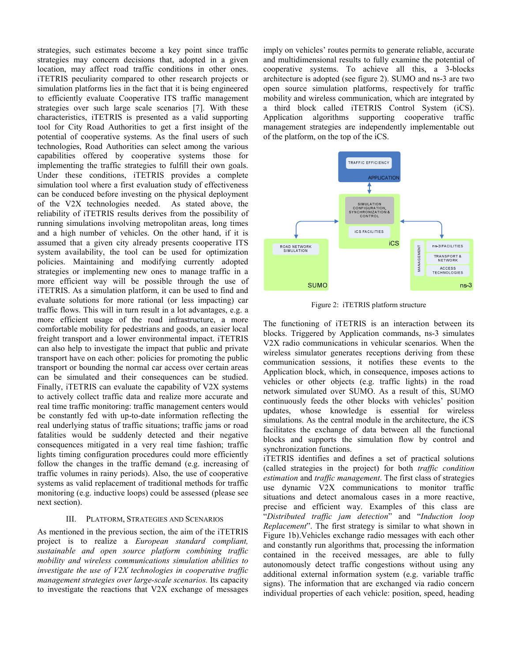strategies, such estimates become a key point since traffic strategies may concern decisions that, adopted in a given location, may affect road traffic conditions in other ones. iTETRIS peculiarity compared to other research projects or simulation platforms lies in the fact that it is being engineered to efficiently evaluate Cooperative ITS traffic management strategies over such large scale scenarios [7]. With these characteristics, iTETRIS is presented as a valid supporting tool for City Road Authorities to get a first insight of the potential of cooperative systems. As the final users of such technologies, Road Authorities can select among the various capabilities offered by cooperative systems those for implementing the traffic strategies to fulfill their own goals. Under these conditions, iTETRIS provides a complete simulation tool where a first evaluation study of effectiveness can be conduced before investing on the physical deployment of the V2X technologies needed. As stated above, the reliability of iTETRIS results derives from the possibility of running simulations involving metropolitan areas, long times and a high number of vehicles. On the other hand, if it is assumed that a given city already presents cooperative ITS system availability, the tool can be used for optimization policies. Maintaining and modifying currently adopted strategies or implementing new ones to manage traffic in a more efficient way will be possible through the use of iTETRIS. As a simulation platform, it can be used to find and evaluate solutions for more rational (or less impacting) car traffic flows. This will in turn result in a lot advantages, e.g. a more efficient usage of the road infrastructure, a more comfortable mobility for pedestrians and goods, an easier local freight transport and a lower environmental impact. iTETRIS can also help to investigate the impact that public and private transport have on each other: policies for promoting the public transport or bounding the normal car access over certain areas can be simulated and their consequences can be studied. Finally, iTETRIS can evaluate the capability of V2X systems to actively collect traffic data and realize more accurate and real time traffic monitoring: traffic management centers would be constantly fed with up-to-date information reflecting the real underlying status of traffic situations; traffic jams or road fatalities would be suddenly detected and their negative consequences mitigated in a very real time fashion; traffic lights timing configuration procedures could more efficiently follow the changes in the traffic demand (e.g. increasing of traffic volumes in rainy periods). Also, the use of cooperative systems as valid replacement of traditional methods for traffic monitoring (e.g. inductive loops) could be assessed (please see next section).

#### III. PLATFORM, STRATEGIES AND SCENARIOS

As mentioned in the previous section, the aim of the iTETRIS project is to realize a European standard compliant, sustainable and open source platform combining traffic mobility and wireless communications simulation abilities to investigate the use of V2X technologies in cooperative traffic management strategies over large-scale scenarios. Its capacity to investigate the reactions that V2X exchange of messages imply on vehicles' routes permits to generate reliable, accurate and multidimensional results to fully examine the potential of cooperative systems. To achieve all this, a 3-blocks architecture is adopted (see figure 2). SUMO and ns-3 are two open source simulation platforms, respectively for traffic mobility and wireless communication, which are integrated by a third block called iTETRIS Control System (iCS). Application algorithms supporting cooperative traffic management strategies are independently implementable out of the platform, on the top of the iCS.



Figure 2: iTETRIS platform structure

The functioning of iTETRIS is an interaction between its blocks. Triggered by Application commands, ns-3 simulates V2X radio communications in vehicular scenarios. When the wireless simulator generates receptions deriving from these communication sessions, it notifies these events to the Application block, which, in consequence, imposes actions to vehicles or other objects (e.g. traffic lights) in the road network simulated over SUMO. As a result of this, SUMO continuously feeds the other blocks with vehicles' position updates, whose knowledge is essential for wireless simulations. As the central module in the architecture, the iCS facilitates the exchange of data between all the functional blocks and supports the simulation flow by control and synchronization functions.

iTETRIS identifies and defines a set of practical solutions (called strategies in the project) for both traffic condition estimation and traffic management. The first class of strategies use dynamic V2X communications to monitor traffic situations and detect anomalous cases in a more reactive, precise and efficient way. Examples of this class are "Distributed traffic jam detection" and "Induction loop Replacement". The first strategy is similar to what shown in Figure 1b).Vehicles exchange radio messages with each other and constantly run algorithms that, processing the information contained in the received messages, are able to fully autonomously detect traffic congestions without using any additional external information system (e.g. variable traffic signs). The information that are exchanged via radio concern individual properties of each vehicle: position, speed, heading